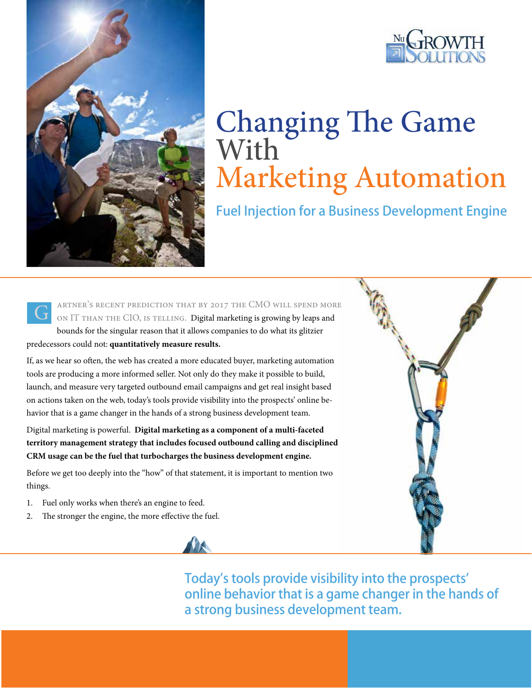



# Changing The Game **With** Marketing Automation

Fuel Injection for a Business Development Engine



artner's recent prediction that by 2017 the CMO will spend more ON IT THAN THE CIO, IS TELLING. Digital marketing is growing by leaps and bounds for the singular reason that it allows companies to do what its glitzier

predecessors could not: **quantitatively measure results.** 

If, as we hear so often, the web has created a more educated buyer, marketing automation tools are producing a more informed seller. Not only do they make it possible to build, launch, and measure very targeted outbound email campaigns and get real insight based on actions taken on the web, today's tools provide visibility into the prospects' online behavior that is a game changer in the hands of a strong business development team.

Digital marketing is powerful. **Digital marketing as a component of a multi-faceted territory management strategy that includes focused outbound calling and disciplined CRM usage can be the fuel that turbocharges the business development engine.** 

Before we get too deeply into the "how" of that statement, it is important to mention two things.

- 1. Fuel only works when there's an engine to feed.
- 2. The stronger the engine, the more effective the fuel.





Today's tools provide visibility into the prospects' online behavior that is a game changer in the hands of a strong business development team.